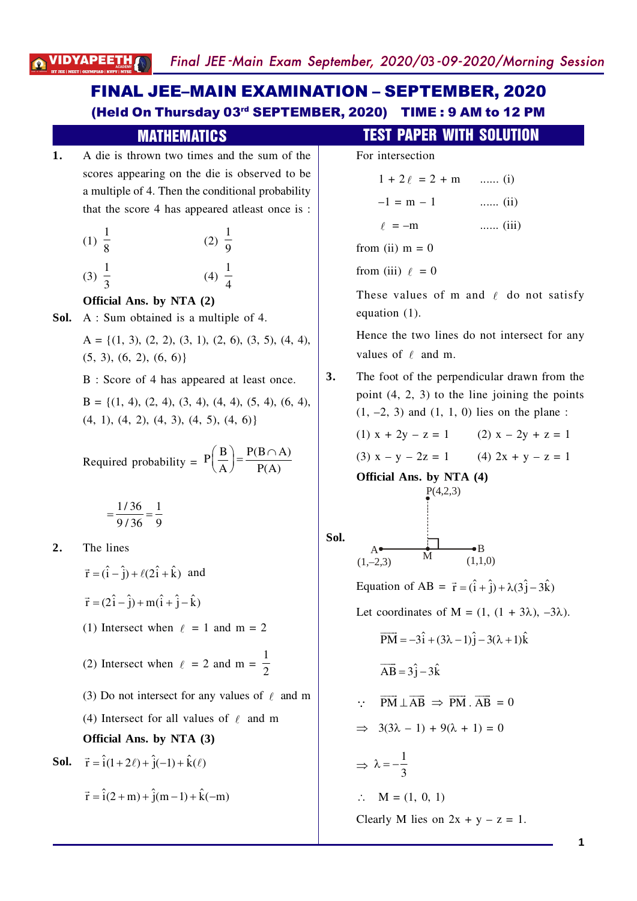## (Held On Thursday 03rd SEPTEMBER, 2020) TIME : 9 AM to 12 PM FINAL JEE–MAIN EXAMINATION – SEPTEMBER, 2020

|            | <b>MATHEMATICS</b>                                                                                                                                                                                                                                                                                                                                                                                                                                    |      | <b>TEST PAPER WIT</b>                                                                                                                                                                                           |
|------------|-------------------------------------------------------------------------------------------------------------------------------------------------------------------------------------------------------------------------------------------------------------------------------------------------------------------------------------------------------------------------------------------------------------------------------------------------------|------|-----------------------------------------------------------------------------------------------------------------------------------------------------------------------------------------------------------------|
| 1.<br>Sol. | A die is thrown two times and the sum of the<br>scores appearing on the die is observed to be<br>a multiple of 4. Then the conditional probability<br>that the score 4 has appeared at least once is :<br>(1) $\frac{1}{8}$<br>(2) $\frac{1}{9}$<br>(4) $\frac{1}{4}$<br>$(3) \frac{1}{3}$<br>Official Ans. by NTA (2)<br>A : Sum obtained is a multiple of 4.<br>$A = \{(1, 3), (2, 2), (3, 1), (2, 6), (3, 5), (4, 4),\}$<br>(5, 3), (6, 2), (6, 6) |      | For intersection<br>$1 + 2\ell = 2 + m$<br>$-1 = m - 1$<br>$\ell = -m$<br>from (ii) $m = 0$<br>from (iii) $\ell = 0$<br>These values of m<br>equation $(1)$ .<br>Hence the two lines<br>values of $\ell$ and m. |
|            | B : Score of 4 has appeared at least once.<br>$B = \{(1, 4), (2, 4), (3, 4), (4, 4), (5, 4), (6, 4),\}$<br>$(4, 1), (4, 2), (4, 3), (4, 5), (4, 6)$<br>Required probability = $P\left(\frac{B}{A}\right) = \frac{P(B \cap A)}{P(A)}$                                                                                                                                                                                                                  | 3.   | The foot of the perpe<br>point $(4, 2, 3)$ to the<br>$(1, -2, 3)$ and $(1, 1, 0)$<br>$(1) x + 2y - z = 1$<br>$(3) x - y - 2z = 1$<br><b>Official Ans. by NT.</b><br>P(4,2,3)                                    |
| 2.         | $=\frac{1/36}{0/36}=\frac{1}{9}$<br>The lines<br>$\vec{r} = (\hat{i} - \hat{j}) + \ell(2\hat{i} + \hat{k})$ and<br>$\vec{r} = (2\hat{i} - \hat{j}) + m(\hat{i} + \hat{j} - \hat{k})$<br>(1) Intersect when $\ell = 1$ and m = 2<br>(2) Intersect when $\ell = 2$ and m = $\frac{1}{2}$                                                                                                                                                                | Sol. | М<br>$(1,-2,3)$<br>Equation of AB = $\vec{r}$ =<br>Let coordinates of M<br>$\overrightarrow{PM} = -3\hat{i} + (3\lambda -$<br>$\overrightarrow{AB} = 3\hat{j} - 3\hat{k}$                                       |
| Sol.       | (3) Do not intersect for any values of $\ell$ and m<br>(4) Intersect for all values of $\ell$ and m<br>Official Ans. by NTA (3)<br>$\vec{r} = \hat{i}(1+2\ell) + \hat{j}(-1) + \hat{k}(\ell)$<br>$\vec{r} = \hat{i}(2+m) + \hat{j}(m-1) + \hat{k}(-m)$                                                                                                                                                                                                |      | $\overrightarrow{PM} \perp \overrightarrow{AB} \Rightarrow \overrightarrow{PN}$<br>$3(3\lambda - 1) + 9(\lambda -$<br>$\Rightarrow \lambda = -\frac{1}{3}$<br>$M = (1, 0, 1)$<br>Clearly $M$ lies on $2x$       |

# *IITH SOLUTION*

| $1 + 2\ell = 2 + m$ | (1)   |
|---------------------|-------|
| $-1 = m - 1$        | (ii)  |
| $\ell = -m$         | (iii) |
| m (ii) $m = 0$      |       |
| $\ldots$ (:::\ 0 0  |       |

m and  $\ell$  do not satisfy

es do not intersect for any

pendicular drawn from the the line joining the points  $(1, 0)$  lies on the plane :

> (2)  $x - 2y + z = 1$ (4)  $2x + y - z = 1$

 $TA(4)$ 

 $\rightarrow$ B  $(1,1,0)$ 

 $\vec{r} = (\hat{i} + \hat{j}) + \lambda(3\hat{j} - 3\hat{k})$ 

 $M = (1, (1 + 3\lambda), -3\lambda).$ 

$$
\overrightarrow{PM} = -3\hat{i} + (3\lambda - 1)\hat{j} - 3(\lambda + 1)\hat{k}
$$

$$
\therefore \quad \overrightarrow{PM} \perp \overrightarrow{AB} \Rightarrow \overrightarrow{PM} \cdot \overrightarrow{AB} = 0
$$

$$
\Rightarrow 3(3\lambda - 1) + 9(\lambda + 1) = 0
$$

 $2x + y - z = 1.$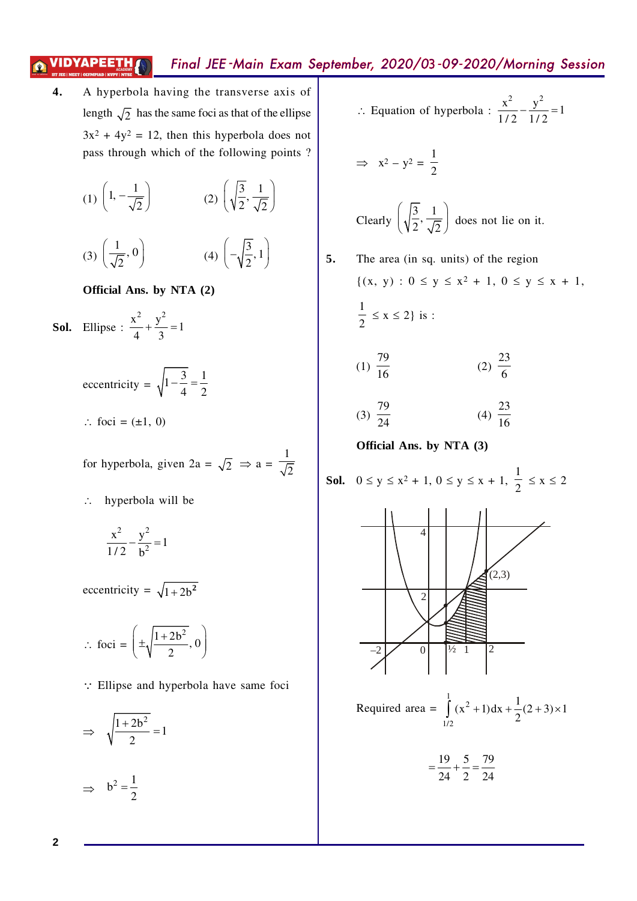**4.** A hyperbola having the transverse axis of length  $\sqrt{2}$  has the same foci as that of the ellipse  $3x^2 + 4y^2 = 12$ , then this hyperbola does not pass through which of the following points ?

(1) 
$$
\left(1, -\frac{1}{\sqrt{2}}\right)
$$
 (2)  $\left(\sqrt{\frac{3}{2}}, \frac{1}{\sqrt{2}}\right)$   
(3)  $\left(\frac{1}{\sqrt{2}}, 0\right)$  (4)  $\left(-\sqrt{\frac{3}{2}}, 1\right)$ 

**Official Ans. by NTA (2)**

**Sol.** Ellipse :  $\frac{x^2}{4} + \frac{y^2}{2} = 1$ 4 3  $+\frac{y}{2}=1$ 

> eccentricity =  $\sqrt{1-\frac{3}{4}} = \frac{1}{2}$ 4 2  $-\frac{3}{4}$  = - $\therefore$  foci = ( $\pm 1, 0$ )

for hyperbola, given  $2a = \sqrt{2} \Rightarrow a =$ 1 2

 $\therefore$  hyperbola will be

$$
\frac{x^2}{1/2} - \frac{y^2}{b^2} = 1
$$

eccentricity =  $\sqrt{1+2b^2}$ 

$$
\therefore \text{ foci} = \left(\pm \sqrt{\frac{1+2b^2}{2}}, 0\right)
$$

 $\therefore$  Ellipse and hyperbola have same foci

$$
\Rightarrow \sqrt{\frac{1+2b^2}{2}} = 1
$$

 $\Rightarrow b^2 = \frac{1}{2}$ 2 =

 $\therefore$  Equation of hyperbola :  $\frac{x^2}{2} - \frac{y^2}{2} = 1$ 1/2 1/2  $-\frac{y}{4} = 1$ 

$$
\Rightarrow x^2 - y^2 = \frac{1}{2}
$$

Clearly 
$$
\left(\sqrt{\frac{3}{2}}, \frac{1}{\sqrt{2}}\right)
$$
 does not lie on it.

**5.** The area (in sq. units) of the region {(x, y) : 0 £ y £ x2 + 1, 0 £ y £ x + 1, 1 2 £ x £ 2} is : (1) 79 <sup>16</sup> (2) 23 6 (3) 79 <sup>24</sup> (4) 23 16 **Official Ans. by NTA (3) Sol.** 0 £ y £ x2 + 1, 0 £ y £ x + 1, 1 2 £ x £ 2 4 2 –2 0 ½ 1 2 (2,3) Required area = 1 2 1/2 1 (x 1)dx (2 3) 1 2 + + +´ ò 19 5 79 24 2 24 = +=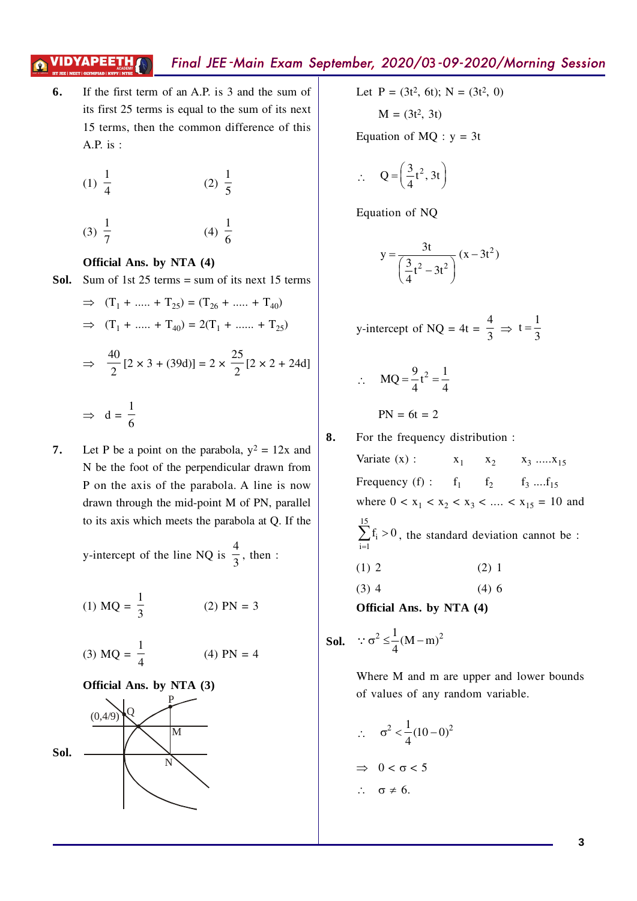**6.** If the first term of an A.P. is 3 and the sum of its first 25 terms is equal to the sum of its next 15 terms, then the common difference of this A.P. is :

(1) 
$$
\frac{1}{4}
$$
 (2)  $\frac{1}{5}$ 

#### **Official Ans. by NTA (4)**

(3)

7

**Sol.** Sum of 1st 25 terms = sum of its next 15 terms

⇒ 
$$
(T_1 + ...... + T_{25}) = (T_{26} + ...... + T_{40})
$$
  
\n⇒  $(T_1 + ...... + T_{40}) = 2(T_1 + ...... + T_{25})$   
\n⇒  $\frac{40}{2} [2 \times 3 + (39d)] = 2 \times \frac{25}{2} [2 \times 2 + 24d]$   
\n⇒  $d = \frac{1}{6}$ 

(4)

6

**7.** Let P be a point on the parabola,  $y^2 = 12x$  and N be the foot of the perpendicular drawn from P on the axis of the parabola. A line is now drawn through the mid-point M of PN, parallel to its axis which meets the parabola at Q. If the

> y-intercept of the line NQ is 4  $\frac{1}{3}$ , then :

(1) 
$$
MQ = \frac{1}{3}
$$
 (2)  $PN = 3$ 

(3) 
$$
MQ = \frac{1}{4}
$$
 (4)  $PN = 4$ 





Let 
$$
P = (3t^2, 6t)
$$
;  $N = (3t^2, 0)$ 

 $M = (3t^2, 3t)$ 

Equation of  $MQ : y = 3t$ 

$$
\therefore \quad Q = \left(\frac{3}{4}t^2, 3t\right)
$$

Equation of NQ

$$
y = \frac{3t}{\left(\frac{3}{4}t^2 - 3t^2\right)}(x - 3t^2)
$$

y-intercept of NQ = 4t = 
$$
\frac{4}{3}
$$
  $\Rightarrow$  t =  $\frac{1}{3}$ 

 $\therefore$  MQ =  $\frac{9}{4}$ t<sup>2</sup> =  $\frac{1}{4}$ 4 4  $=\frac{2}{1}t^2=-$ 

$$
PN = 6t = 2
$$

**8.** For the frequency distribution :

Variate  $(x)$ :  $x_1$  $x_2$   $x_3$  .....  $x_{15}$ Frequency (f) :  $f_1 \t f_2 \t f_3 \t ... f_{15}$ where  $0 < x_1 < x_2 < x_3 < \dots < x_{15} = 10$  and 15 i  $i = 1$  $f_i > 0$  $\sum_{i=1} f_i > 0$ , the standard deviation cannot be : (1) 2 (2) 1  $(3)$  4  $(4)$  6

**Official Ans. by NTA (4)**

**Sol.** 
$$
\therefore \sigma^2 \leq \frac{1}{4} (M - m)^2
$$

Where M and m are upper and lower bounds of values of any random variable.

 $\therefore \quad \sigma^2 < \frac{1}{4}(10-0)^2$ 4  $\sigma^2 < -(10 - 0)$  $\Rightarrow$  0 <  $\sigma$  < 5  $\therefore \quad \sigma \neq 6.$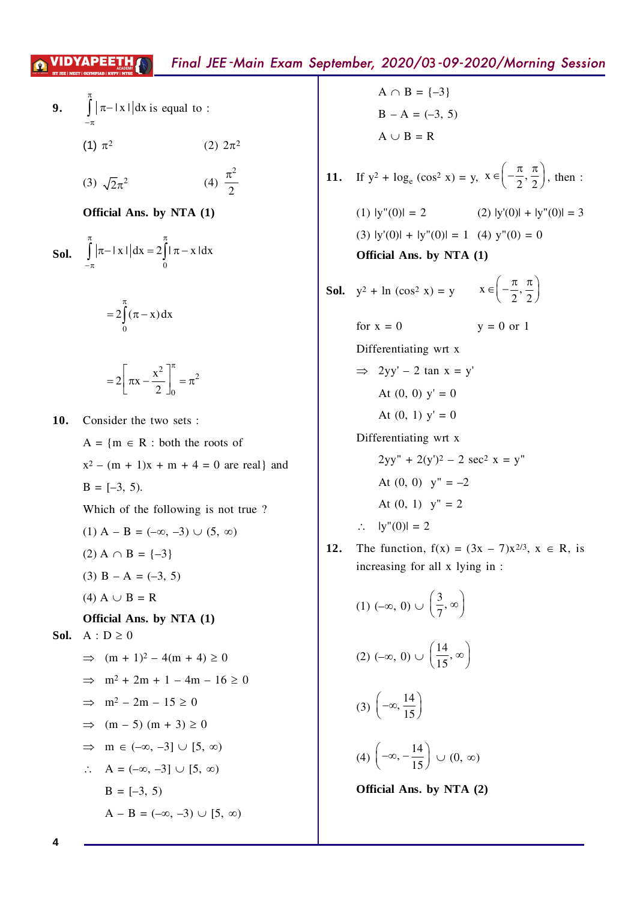9. 
$$
\int_{-\pi}^{\pi} |\pi - |x| |dx
$$
 is equal to :  
\n(1)  $\pi^2$  (2)  $2\pi^2$   
\n(3)  $\sqrt{2}\pi^2$  (4)  $\frac{\pi^2}{2}$   
\n**Official Ans. by NTA (1)**  
\n**Sol.** 
$$
\int_{-\pi}^{\pi} |\pi - |x| |dx = 2 \int_{0}^{\pi} |\pi - x| dx
$$

$$
=2\int_{0}^{n}(\pi-x)dx
$$

$$
=2\left[\pi x-\frac{x^2}{2}\right]_0^{\pi}=\pi^2
$$

10. Consider the two sets:

 $A = \{m \in R : both the roots of$  $x^2 - (m + 1)x + m + 4 = 0$  are real and  $B = [-3, 5).$ Which of the following is not true?  $(1)$  A – B =  $(-\infty, -3)$   $\cup$   $(5, \infty)$  $(2)$  A  $\cap$  B = {-3}  $(3)$  B – A =  $(-3, 5)$ (4) A  $\cup$  B = R Official Ans. by NTA (1) Sol.  $A : D \ge 0$  $\implies$   $(m + 1)^2 - 4(m + 4) \ge 0$  $\implies$  m<sup>2</sup> + 2m + 1 - 4m - 16  $\geq$  0  $\implies$  m<sup>2</sup> - 2m - 15  $\geq$  0  $\implies$  (m - 5) (m + 3)  $\geq$  0  $\Rightarrow$  m  $\in$   $(-\infty, -3] \cup [5, \infty)$  $\therefore$  A = (- $\infty$ , -3)  $\cup$  [5,  $\infty$ )  $B = [-3, 5)$  $A - B = (-\infty, -3) \cup [5, \infty)$ 

 $A \cap B = \{-3\}$  $B - A = (-3, 5)$  $A \cup B = R$ 

11. If 
$$
y^2 + \log_e (\cos^2 x) = y
$$
,  $x \in \left(-\frac{\pi}{2}, \frac{\pi}{2}\right)$ , then :

(1) 
$$
|y''(0)| = 2
$$
  
(2)  $|y'(0)| + |y''(0)| = 3$   
(3)  $|y'(0)| + |y''(0)| = 1$   
(4)  $y''(0) = 0$   
**Official Ans. by NTA (1)**

**Sol.** 
$$
y^2 + \ln(\cos^2 x) = y
$$
  $x \in \left(-\frac{\pi}{2}, \frac{\pi}{2}\right)$ 

for  $x = 0$  $y = 0$  or 1 Differentiating wrt x  $\implies$  2yy' - 2 tan x = y' At  $(0, 0)$  y' = 0 At  $(0, 1)$  y' = 0 Differentiating wrt x  $2yy'' + 2(y')^2 - 2 \sec^2 x = y''$ At  $(0, 0)$  y" = -2 At  $(0, 1)$  y" = 2  $\therefore$   $|y''(0)| = 2$ 

12. The function,  $f(x) = (3x - 7)x^{2/3}$ ,  $x \in R$ , is increasing for all x lying in :

(1) 
$$
(-\infty, 0) \cup \left(\frac{3}{7}, \infty\right)
$$
  
\n(2)  $(-\infty, 0) \cup \left(\frac{14}{15}, \infty\right)$   
\n(3)  $\left(-\infty, \frac{14}{15}\right)$   
\n(4)  $\left(-\infty, -\frac{14}{15}\right) \cup (0, \infty)$   
\nOfficial Ans. by NTA (2)

 $\boldsymbol{\Lambda}$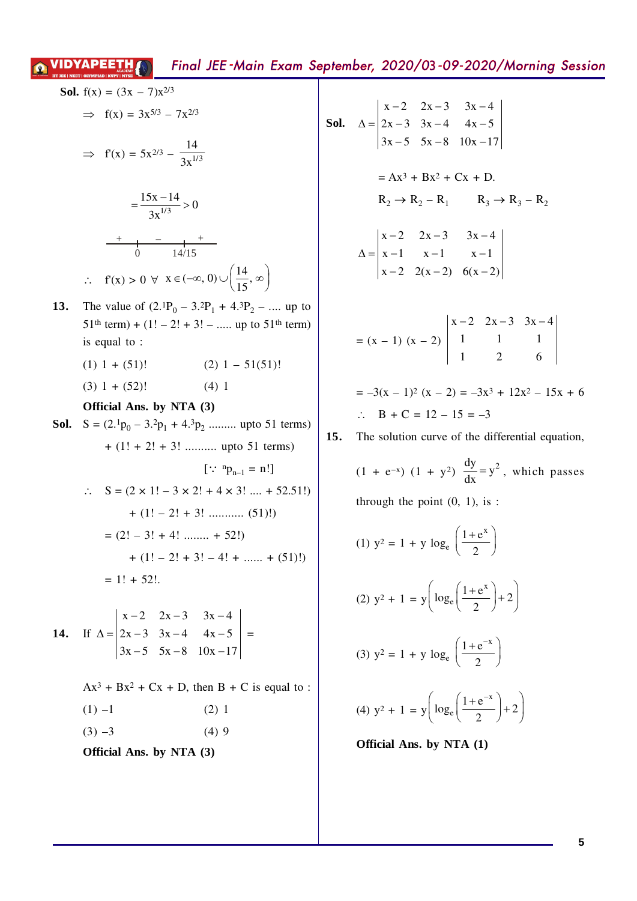to

**Sol.** 
$$
f(x) = (3x - 7)x^{2/3}
$$
  
\n $\Rightarrow f(x) = 3x^{5/3} - 7x^{2/3}$   
\n $\Rightarrow f(x) = 5x^{2/3} - \frac{14}{3x^{1/3}}$   
\n $= \frac{15x - 14}{3x^{1/3}} > 0$   
\n $\frac{14}{3x^{1/3}} > 0$   
\n $\frac{1}{14/15}$   
\n $\therefore f(x) > 0 \forall x \in (-\infty, 0) \cup (\frac{14}{15}, \infty)$   
\n13. The value of  $(2 \cdot P_0 - 3 \cdot P_1 + 4 \cdot P_2 - \dots$  up to 51th term) + (1! - 2! + 3! - \dots up to 51th term)  
\nis equal to :  
\n(1) 1 + (51)! (2) 1 - 51(51)!  
\n(3) 1 + (52)! (4) 1  
\n**Official Ans. by NTA (3)**  
\n**Sol.**  $S = (2 \cdot P_0 - 3 \cdot P_1 + 4 \cdot P_2 - \dots$  up to 51 terms)  
\n $+ (1! + 2! + 3! - \dots$  up to 51 terms)  
\n $\therefore S = (2 \times 1! - 3 \times 2! + 4 \times 3! - \dots + 52.51!) + (1! - 2! + 3! - \dots$  (51)!)  
\n $+ (1! - 2! + 3! - 4! + \dots + 52.51!) + (1! - 2! + 3! - 4! + \dots + (51)!)$   
\n $= 1! + 52!$   
\n14. If  $\Delta = \begin{vmatrix} x - 2 & 2x - 3 & 3x - 4 \\ 2x - 3 & 3x - 4 & 4x - 5 \\ 3x - 5 & 5x - 8 & 10x - 17 \end{vmatrix} =$   
\n $Ax^3 + Bx^2 + Cx + D$ , then  $B + C$  is equal to :  
\n(1) -1 (2) 1  
\n(3) -3 (4) 9

Official Ans. by NTA (3)

**Sol.** 
$$
\Delta = \begin{vmatrix} x-2 & 2x-3 & 3x-4 \\ 2x-3 & 3x-4 & 4x-5 \\ 3x-5 & 5x-8 & 10x-17 \end{vmatrix}
$$
  
=  $Ax^3 + Bx^2 + Cx + D$ .  

$$
R_2 \rightarrow R_2 - R_1 \qquad R_3 \rightarrow R_3 - R_2
$$
  

$$
\Delta = \begin{vmatrix} x-2 & 2x-3 & 3x-4 \\ x-1 & x-1 & x-1 \\ x-2 & 2(x-2) & 6(x-2) \end{vmatrix}
$$
  
=  $(x - 1) (x - 2) \begin{vmatrix} x-2 & 2x-3 & 3x-4 \\ 1 & 1 & 1 \\ 1 & 2 & 6 \end{vmatrix}$   
=  $-3(x - 1)^2 (x - 2) = -3x^3 + 12x^2 - 15x + 6$ 

$$
\therefore \quad B + C = 12 - 15 = -3
$$

 $(1 + e^{-x}) (1 + y^2) \frac{dy}{dx} = y^2$ , which passes through the point  $(0, 1)$ , is:

(1) 
$$
y^2 = 1 + y \log_e \left( \frac{1 + e^x}{2} \right)
$$
  
\n(2)  $y^2 + 1 = y \left( \log_e \left( \frac{1 + e^x}{2} \right) + 2 \right)$   
\n(3)  $y^2 = 1 + y \log_e \left( \frac{1 + e^{-x}}{2} \right)$   
\n(4)  $y^2 + 1 = y \left( \log_e \left( \frac{1 + e^{-x}}{2} \right) + 2 \right)$ 

Official Ans. by NTA (1)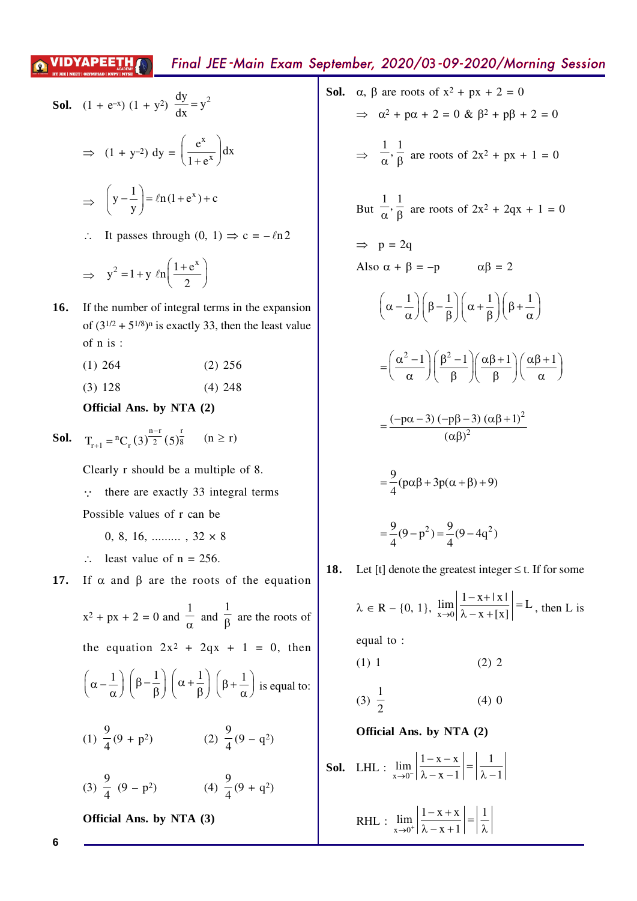**Sol.** 
$$
(1 + e^{-x})(1 + y^2) \frac{dy}{dx} = y^2
$$
  
\n $\Rightarrow (1 + y^{-2}) dy = \left(\frac{e^x}{1 + e^x}\right) dx$   
\n $\Rightarrow \left(y - \frac{1}{y}\right) = \ln(1 + e^x) + c$ 

 $\therefore$  It passes through  $(0, 1) \Rightarrow c = -\ln 2$ 

$$
\Rightarrow y^2 = 1 + y \ln\left(\frac{1 + e^x}{2}\right)
$$

- **16.** If the number of integral terms in the expansion of  $(3^{1/2} + 5^{1/8})^n$  is exactly 33, then the least value of n is :
	- (1) 264 (2) 256
	- (3) 128 (4) 248

#### **Official Ans. by NTA (2)**

**Sol.** 
$$
T_{r+1} = {}^{n}C_{r}(3)^{\frac{n-r}{2}}(5)^{\frac{r}{8}}
$$
  $(n \ge r)$ 

Clearly r should be a multiple of 8.

 $\therefore$  there are exactly 33 integral terms

Possible values of r can be

- 0, 8, 16, .........,  $32 \times 8$
- $\therefore$  least value of n = 256.

**17.** If  $\alpha$  and  $\beta$  are the roots of the equation

$$
x^{2} + px + 2 = 0 \text{ and } \frac{1}{\alpha} \text{ and } \frac{1}{\beta} \text{ are the roots of}
$$
  
the equation  $2x^{2} + 2qx + 1 = 0$ , then  

$$
\left(\alpha - \frac{1}{\alpha}\right) \left(\beta - \frac{1}{\beta}\right) \left(\alpha + \frac{1}{\beta}\right) \left(\beta + \frac{1}{\alpha}\right) \text{ is equal to:}
$$
  

$$
(1) \frac{9}{4} (9 + p^{2}) \qquad (2) \frac{9}{4} (9 - q^{2})
$$
  

$$
(3) \frac{9}{4} (9 - p^{2}) \qquad (4) \frac{9}{4} (9 + q^{2})
$$

**Official Ans. by NTA (3)**

**Sol.**  $\alpha$ ,  $\beta$  are roots of  $x^2 + px + 2 = 0$  $\Rightarrow \alpha^2 + \alpha^2 + 2 = 0 \& B^2 + \alpha^2 + 2 = 0$  $\Rightarrow$  $\frac{1}{\alpha}$ ,  $\frac{1}{\beta}$  are roots of 2x<sup>2</sup> + px + 1 = 0 But  $\frac{1}{\alpha}$ ,  $\frac{1}{\beta}$  are roots of 2x<sup>2</sup> + 2qx + 1 = 0  $\Rightarrow$  p = 2q Also  $\alpha + \beta = -p$   $\alpha\beta = 2$  $\left(\alpha-\frac{1}{\alpha}\right)\left(\beta-\frac{1}{\beta}\right)\left(\alpha+\frac{1}{\beta}\right)\left(\beta+\frac{1}{\alpha}\right)$  $\left(\alpha^2 - 1\right) \left(\beta^2 - 1\right) \left(\alpha \beta + 1\right) \left(\alpha \beta + 1\right)$  $=\left(\frac{\alpha-1}{\alpha}\right)\left(\frac{\beta-1}{\beta}\right)\left(\frac{\alpha\beta+1}{\beta}\right)\left(\frac{\alpha\beta+1}{\alpha}\right)$ 2 2  $(-p\alpha-3)$   $(-p\beta-3)$   $(\alpha\beta+1)$  $(\alpha \beta)$  $=\frac{(-p\alpha-3)(-p\beta-3)(\alpha\beta+1)}{2}$  $\alpha\beta$  $\frac{9}{2}$ (p $\alpha\beta$  + 3p( $\alpha$  +  $\beta$ ) + 9) 4  $= -(p\alpha\beta + 3p(\alpha + \beta) + 9)$  $\frac{9}{2}(9-p^2) = \frac{9}{2}(9-4q^2)$  $4 \times 4$  $= -(9-p^2) = -(9-q^2)$ **18.** Let [t] denote the greatest integer  $\leq$  t. If for some  $\lambda \in \mathbb{R} - \{0, 1\}, \lim_{x \to 0} \left| \frac{1 - x + |x|}{\lambda - x + |x|} \right| = L$  $\rightarrow 0$   $\lambda - x + [x]$  $\left|\frac{1-x+|x|}{\lambda-x+[x]}\right| = L$ , then L is equal to :

(1) 1 (2) 2

$$
(3) \ \frac{1}{2} \tag{4) 0}
$$

**Official Ans. by NTA (2)**

**Sol.** LHL : 
$$
\lim_{x \to 0^-} \left| \frac{1 - x - x}{\lambda - x - 1} \right| = \left| \frac{1}{\lambda - 1} \right|
$$

$$
RHL: \lim_{x \to 0^+} \left| \frac{1-x+x}{\lambda-x+1} \right| = \left| \frac{1}{\lambda} \right|
$$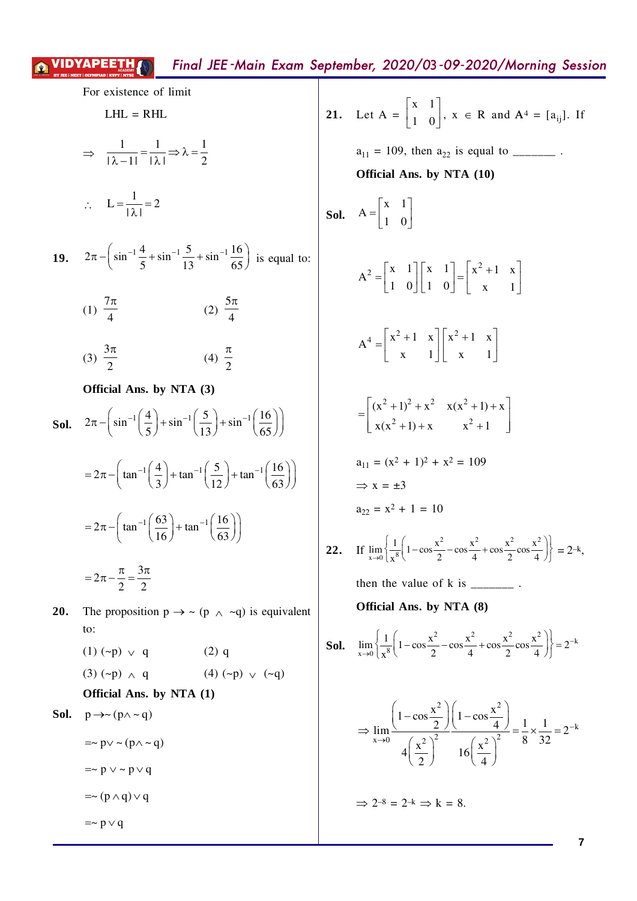For existence of limit  
\nLHL = RHL  
\n
$$
\Rightarrow \frac{1}{|\lambda - 1|} = \frac{1}{|\lambda|} \Rightarrow \lambda = \frac{1}{2}
$$
  
\n $\therefore L = \frac{1}{|\lambda|} = 2$   
\n19.  $2\pi - (\sin^{-1}\frac{4}{5} + \sin^{-1}\frac{5}{13} + \sin^{-1}\frac{16}{65})$  is equal to:  
\n(1)  $\frac{7\pi}{4}$  (2)  $\frac{5\pi}{4}$   
\n(3)  $\frac{3\pi}{2}$  (4)  $\frac{\pi}{2}$   
\nOfficial Ans. by NTA (3)  
\nSol.  $2\pi - (\sin^{-1}(\frac{4}{5}) + \sin^{-1}(\frac{5}{13}) + \sin^{-1}(\frac{16}{65}))$   
\n $= 2\pi - (\tan^{-1}(\frac{4}{3}) + \tan^{-1}(\frac{5}{12}) + \tan^{-1}(\frac{16}{63}))$   
\n $= 2\pi - \frac{\pi}{2} = \frac{3\pi}{2}$   
\n20. The proposition  $p \rightarrow \sim (p \land \sim q)$  is equivalent to:

(1)  $({\sim}p) \vee q$  $(2)$  q  $(3)$  (~p)  $\wedge$  q (4)  $(\sim p)$   $\vee$   $(\sim q)$ Official Ans. by NTA (1)

**Sol.**  $p \rightarrow \sim (p \land \sim q)$ 

$$
= \sim p \vee \sim (p \wedge \sim q)
$$

$$
= \sim p \vee \sim p \vee q
$$

 $=\sim (p \wedge q) \vee q$ 

 $=$   $\sim$  p  $\vee$  q

**21.** Let A =  $\begin{bmatrix} x & 1 \\ 1 & 0 \end{bmatrix}$ ,  $x \in R$  and  $A^4 = [a_{ij}]$ . If  $a_{11} = 109$ , then  $a_{22}$  is equal to \_\_\_\_\_\_\_\_\_. Official Ans. by NTA (10) **Sol.**  $A = \begin{bmatrix} x & 1 \\ 1 & 0 \end{bmatrix}$  $A^2 = \begin{bmatrix} x & 1 \\ 1 & 0 \end{bmatrix} \begin{bmatrix} x & 1 \\ 1 & 0 \end{bmatrix} = \begin{bmatrix} x^2 + 1 & x \\ x & 1 \end{bmatrix}$  $A^4 = \begin{bmatrix} x^2 + 1 & x \\ x & 1 \end{bmatrix} \begin{bmatrix} x^2 + 1 & x \\ x & 1 \end{bmatrix}$  $= \begin{bmatrix} (x^2 + 1)^2 + x^2 & x(x^2 + 1) + x \\ x(x^2 + 1) + x & x^2 + 1 \end{bmatrix}$  $a_{11} = (x^2 + 1)^2 + x^2 = 109$  $\Rightarrow$  x =  $\pm 3$  $a_{22} = x^2 + 1 = 10$ If  $\lim_{x\to 0} \left\{ \frac{1}{x^8} \left( 1 - \cos \frac{x^2}{2} - \cos \frac{x^2}{4} + \cos \frac{x^2}{2} \cos \frac{x^2}{4} \right) \right\} = 2^{-k},$  $22.$ then the value of  $k$  is  $\frac{1}{k}$ . Official Ans. by NTA (8) **Sol.**  $\lim_{x\to 0} \left\{ \frac{1}{x^8} \left( 1 - \cos \frac{x^2}{2} - \cos \frac{x^2}{4} + \cos \frac{x^2}{2} \cos \frac{x^2}{4} \right) \right\} = 2^{-k}$  $\lambda$  $\sim$   $\sim$   $\sim$  $\sim$ 

$$
\Rightarrow \lim_{x \to 0} \frac{\left(1 - \cos \frac{x^2}{2}\right)\left(1 - \cos \frac{x^2}{4}\right)}{4\left(\frac{x^2}{2}\right)^2} = \frac{1}{8} \times \frac{1}{32} = 2^{-k}
$$

 $\Rightarrow$  2<sup>-8</sup> = 2<sup>-k</sup>  $\Rightarrow$  k = 8.